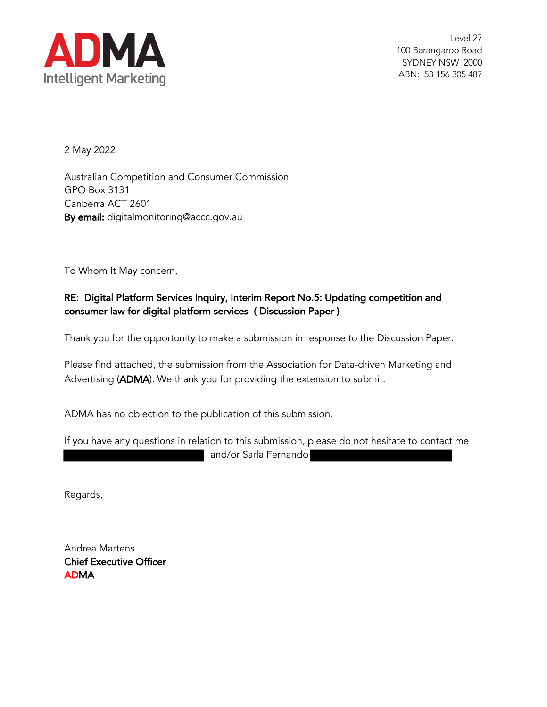

Level 27 100 Barangaroo Road SYDNEY NSW 2000 ABN: 53 156 305 487

2 May 2022

Australian Competition and Consumer Commission GPO Box 3131 Canberra ACT 2601 By email: digitalmonitoring@accc.gov.au

To Whom It May concern,

### RE: Digital Platform Services Inquiry, Interim Report No.5: Updating competition and consumer law for digital platform services ( Discussion Paper )

Thank you for the opportunity to make a submission in response to the Discussion Paper.

Please find attached, the submission from the Association for Data-driven Marketing and Advertising (ADMA). We thank you for providing the extension to submit.

ADMA has no objection to the publication of this submission.

If you have any questions in relation to this submission, please do not hesitate to contact me and/or Sarla Fernando

Regards,

Andrea Martens Chief Executive Officer ADMA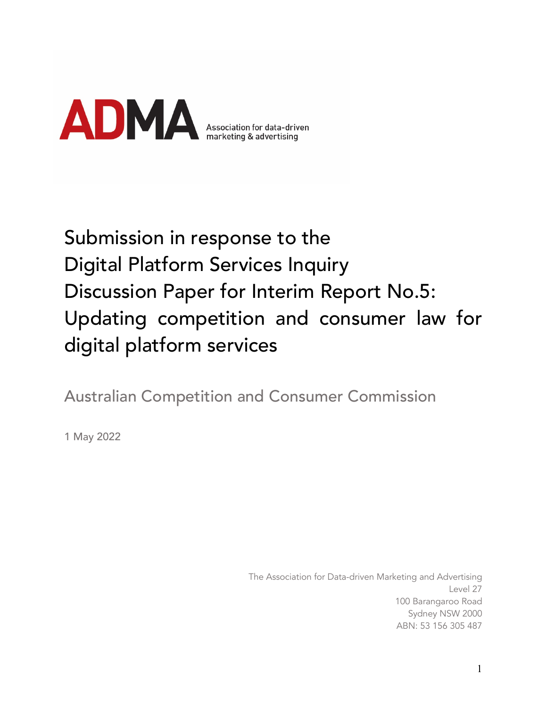# ADMA Association for data-driven

Submission in response to the Digital Platform Services Inquiry Discussion Paper for Interim Report No.5: Updating competition and consumer law for digital platform services

Australian Competition and Consumer Commission

1 May 2022

The Association for Data-driven Marketing and Advertising Level 27 100 Barangaroo Road Sydney NSW 2000 ABN: 53 156 305 487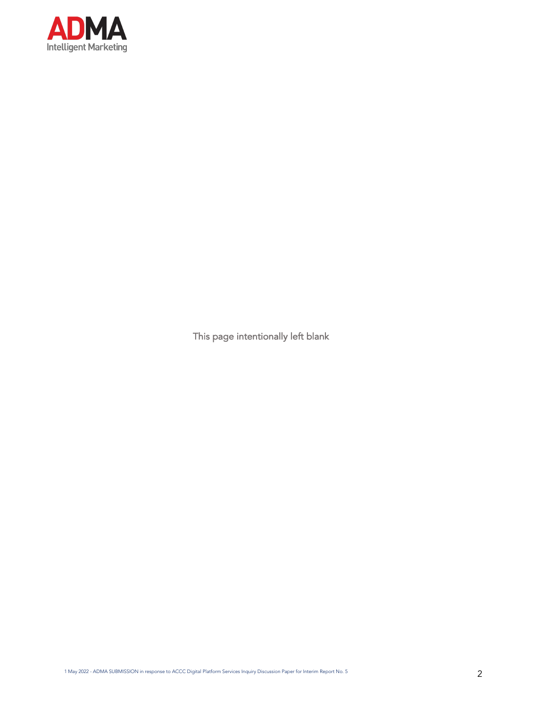

This page intentionally left blank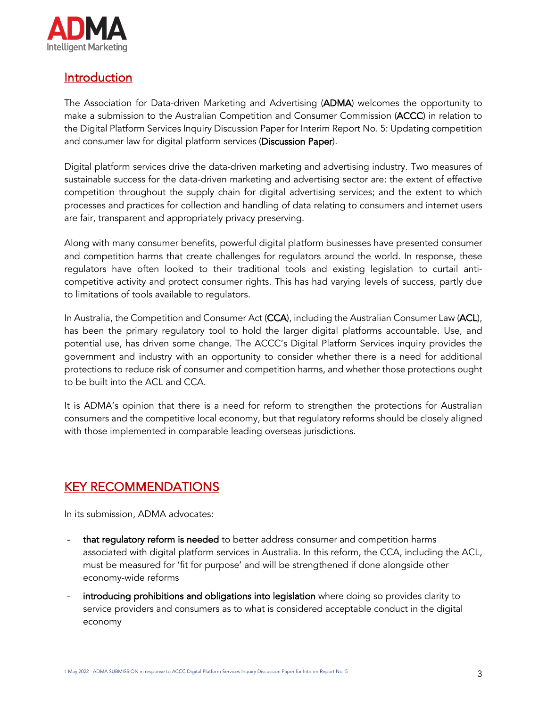

## **Introduction**

The Association for Data-driven Marketing and Advertising (ADMA) welcomes the opportunity to make a submission to the Australian Competition and Consumer Commission (ACCC) in relation to the Digital Platform Services Inquiry Discussion Paper for Interim Report No. 5: Updating competition and consumer law for digital platform services (Discussion Paper).

Digital platform services drive the data-driven marketing and advertising industry. Two measures of sustainable success for the data-driven marketing and advertising sector are: the extent of effective competition throughout the supply chain for digital advertising services; and the extent to which processes and practices for collection and handling of data relating to consumers and internet users are fair, transparent and appropriately privacy preserving.

Along with many consumer benefits, powerful digital platform businesses have presented consumer and competition harms that create challenges for regulators around the world. In response, these regulators have often looked to their traditional tools and existing legislation to curtail anticompetitive activity and protect consumer rights. This has had varying levels of success, partly due to limitations of tools available to regulators.

In Australia, the Competition and Consumer Act (CCA), including the Australian Consumer Law (ACL), has been the primary regulatory tool to hold the larger digital platforms accountable. Use, and potential use, has driven some change. The ACCC's Digital Platform Services inquiry provides the government and industry with an opportunity to consider whether there is a need for additional protections to reduce risk of consumer and competition harms, and whether those protections ought to be built into the ACL and CCA.

It is ADMA's opinion that there is a need for reform to strengthen the protections for Australian consumers and the competitive local economy, but that regulatory reforms should be closely aligned with those implemented in comparable leading overseas jurisdictions.

## KEY RECOMMENDATIONS

In its submission, ADMA advocates:

- that regulatory reform is needed to better address consumer and competition harms associated with digital platform services in Australia. In this reform, the CCA, including the ACL, must be measured for 'fit for purpose' and will be strengthened if done alongside other economy-wide reforms
- introducing prohibitions and obligations into legislation where doing so provides clarity to service providers and consumers as to what is considered acceptable conduct in the digital economy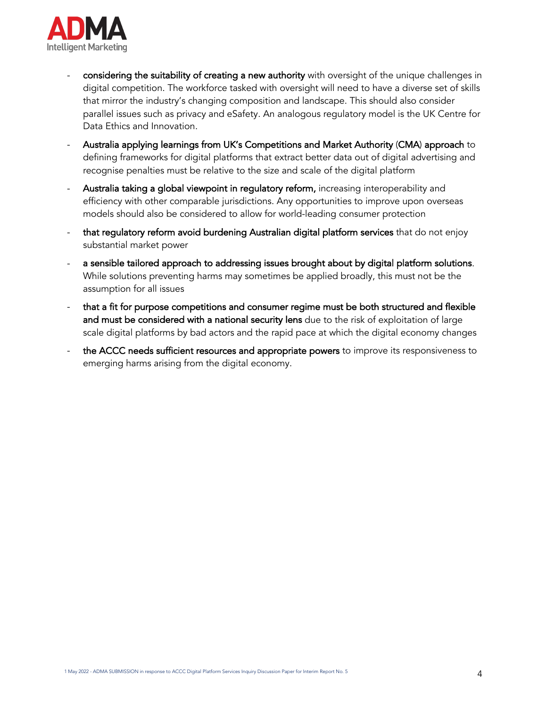

- considering the suitability of creating a new authority with oversight of the unique challenges in digital competition. The workforce tasked with oversight will need to have a diverse set of skills that mirror the industry's changing composition and landscape. This should also consider parallel issues such as privacy and eSafety. An analogous regulatory model is the UK Centre for Data Ethics and Innovation.
- Australia applying learnings from UK's Competitions and Market Authority (CMA) approach to defining frameworks for digital platforms that extract better data out of digital advertising and recognise penalties must be relative to the size and scale of the digital platform
- Australia taking a global viewpoint in regulatory reform, increasing interoperability and efficiency with other comparable jurisdictions. Any opportunities to improve upon overseas models should also be considered to allow for world-leading consumer protection
- that regulatory reform avoid burdening Australian digital platform services that do not enjoy substantial market power
- a sensible tailored approach to addressing issues brought about by digital platform solutions. While solutions preventing harms may sometimes be applied broadly, this must not be the assumption for all issues
- that a fit for purpose competitions and consumer regime must be both structured and flexible and must be considered with a national security lens due to the risk of exploitation of large scale digital platforms by bad actors and the rapid pace at which the digital economy changes
- the ACCC needs sufficient resources and appropriate powers to improve its responsiveness to emerging harms arising from the digital economy.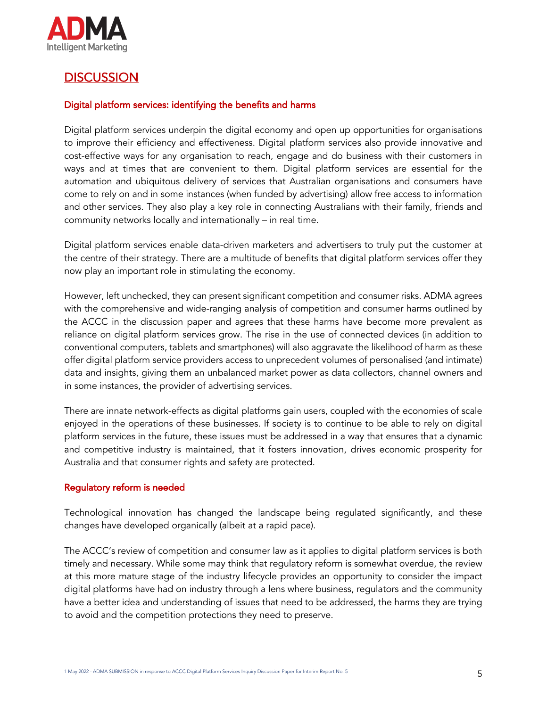

## **DISCUSSION**

#### Digital platform services: identifying the benefits and harms

Digital platform services underpin the digital economy and open up opportunities for organisations to improve their efficiency and effectiveness. Digital platform services also provide innovative and cost-effective ways for any organisation to reach, engage and do business with their customers in ways and at times that are convenient to them. Digital platform services are essential for the automation and ubiquitous delivery of services that Australian organisations and consumers have come to rely on and in some instances (when funded by advertising) allow free access to information and other services. They also play a key role in connecting Australians with their family, friends and community networks locally and internationally – in real time.

Digital platform services enable data-driven marketers and advertisers to truly put the customer at the centre of their strategy. There are a multitude of benefits that digital platform services offer they now play an important role in stimulating the economy.

However, left unchecked, they can present significant competition and consumer risks. ADMA agrees with the comprehensive and wide-ranging analysis of competition and consumer harms outlined by the ACCC in the discussion paper and agrees that these harms have become more prevalent as reliance on digital platform services grow. The rise in the use of connected devices (in addition to conventional computers, tablets and smartphones) will also aggravate the likelihood of harm as these offer digital platform service providers access to unprecedent volumes of personalised (and intimate) data and insights, giving them an unbalanced market power as data collectors, channel owners and in some instances, the provider of advertising services.

There are innate network-effects as digital platforms gain users, coupled with the economies of scale enjoyed in the operations of these businesses. If society is to continue to be able to rely on digital platform services in the future, these issues must be addressed in a way that ensures that a dynamic and competitive industry is maintained, that it fosters innovation, drives economic prosperity for Australia and that consumer rights and safety are protected.

#### Regulatory reform is needed

Technological innovation has changed the landscape being regulated significantly, and these changes have developed organically (albeit at a rapid pace).

The ACCC's review of competition and consumer law as it applies to digital platform services is both timely and necessary. While some may think that regulatory reform is somewhat overdue, the review at this more mature stage of the industry lifecycle provides an opportunity to consider the impact digital platforms have had on industry through a lens where business, regulators and the community have a better idea and understanding of issues that need to be addressed, the harms they are trying to avoid and the competition protections they need to preserve.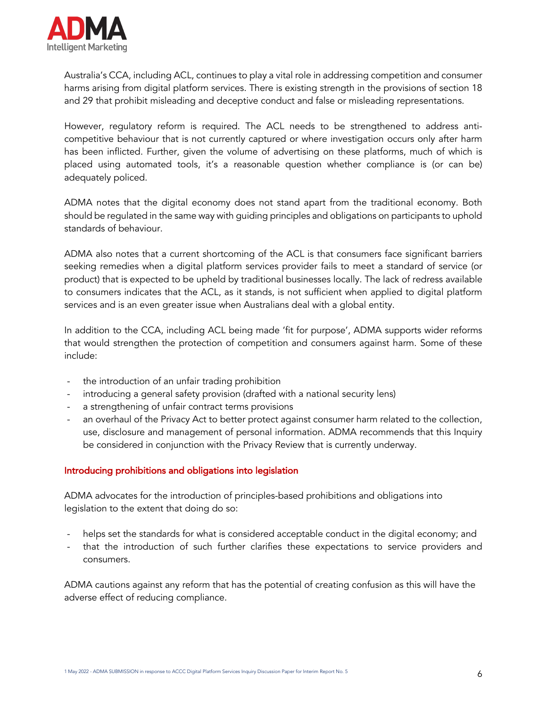

Australia's CCA, including ACL, continues to play a vital role in addressing competition and consumer harms arising from digital platform services. There is existing strength in the provisions of section 18 and 29 that prohibit misleading and deceptive conduct and false or misleading representations.

However, regulatory reform is required. The ACL needs to be strengthened to address anticompetitive behaviour that is not currently captured or where investigation occurs only after harm has been inflicted. Further, given the volume of advertising on these platforms, much of which is placed using automated tools, it's a reasonable question whether compliance is (or can be) adequately policed.

ADMA notes that the digital economy does not stand apart from the traditional economy. Both should be regulated in the same way with guiding principles and obligations on participants to uphold standards of behaviour.

ADMA also notes that a current shortcoming of the ACL is that consumers face significant barriers seeking remedies when a digital platform services provider fails to meet a standard of service (or product) that is expected to be upheld by traditional businesses locally. The lack of redress available to consumers indicates that the ACL, as it stands, is not sufficient when applied to digital platform services and is an even greater issue when Australians deal with a global entity.

In addition to the CCA, including ACL being made 'fit for purpose', ADMA supports wider reforms that would strengthen the protection of competition and consumers against harm. Some of these include:

- the introduction of an unfair trading prohibition
- introducing a general safety provision (drafted with a national security lens)
- a strengthening of unfair contract terms provisions
- an overhaul of the Privacy Act to better protect against consumer harm related to the collection, use, disclosure and management of personal information. ADMA recommends that this Inquiry be considered in conjunction with the Privacy Review that is currently underway.

#### Introducing prohibitions and obligations into legislation

ADMA advocates for the introduction of principles-based prohibitions and obligations into legislation to the extent that doing do so:

- helps set the standards for what is considered acceptable conduct in the digital economy; and
- that the introduction of such further clarifies these expectations to service providers and consumers.

ADMA cautions against any reform that has the potential of creating confusion as this will have the adverse effect of reducing compliance.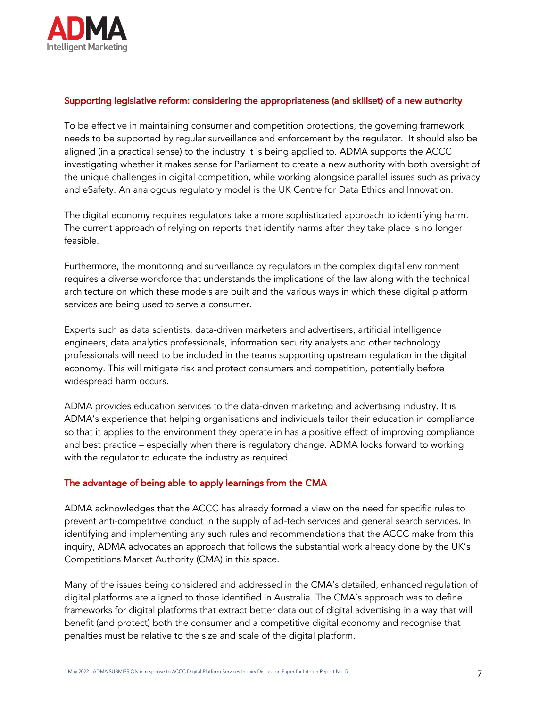

#### Supporting legislative reform: considering the appropriateness (and skillset) of a new authority

To be effective in maintaining consumer and competition protections, the governing framework needs to be supported by regular surveillance and enforcement by the regulator. It should also be aligned (in a practical sense) to the industry it is being applied to. ADMA supports the ACCC investigating whether it makes sense for Parliament to create a new authority with both oversight of the unique challenges in digital competition, while working alongside parallel issues such as privacy and eSafety. An analogous regulatory model is the UK Centre for Data Ethics and Innovation.

The digital economy requires regulators take a more sophisticated approach to identifying harm. The current approach of relying on reports that identify harms after they take place is no longer feasible.

Furthermore, the monitoring and surveillance by regulators in the complex digital environment requires a diverse workforce that understands the implications of the law along with the technical architecture on which these models are built and the various ways in which these digital platform services are being used to serve a consumer.

Experts such as data scientists, data-driven marketers and advertisers, artificial intelligence engineers, data analytics professionals, information security analysts and other technology professionals will need to be included in the teams supporting upstream regulation in the digital economy. This will mitigate risk and protect consumers and competition, potentially before widespread harm occurs.

ADMA provides education services to the data-driven marketing and advertising industry. It is ADMA's experience that helping organisations and individuals tailor their education in compliance so that it applies to the environment they operate in has a positive effect of improving compliance and best practice – especially when there is regulatory change. ADMA looks forward to working with the regulator to educate the industry as required.

#### The advantage of being able to apply learnings from the CMA

ADMA acknowledges that the ACCC has already formed a view on the need for specific rules to prevent anti-competitive conduct in the supply of ad-tech services and general search services. In identifying and implementing any such rules and recommendations that the ACCC make from this inquiry, ADMA advocates an approach that follows the substantial work already done by the UK's Competitions Market Authority (CMA) in this space.

Many of the issues being considered and addressed in the CMA's detailed, enhanced regulation of digital platforms are aligned to those identified in Australia. The CMA's approach was to define frameworks for digital platforms that extract better data out of digital advertising in a way that will benefit (and protect) both the consumer and a competitive digital economy and recognise that penalties must be relative to the size and scale of the digital platform.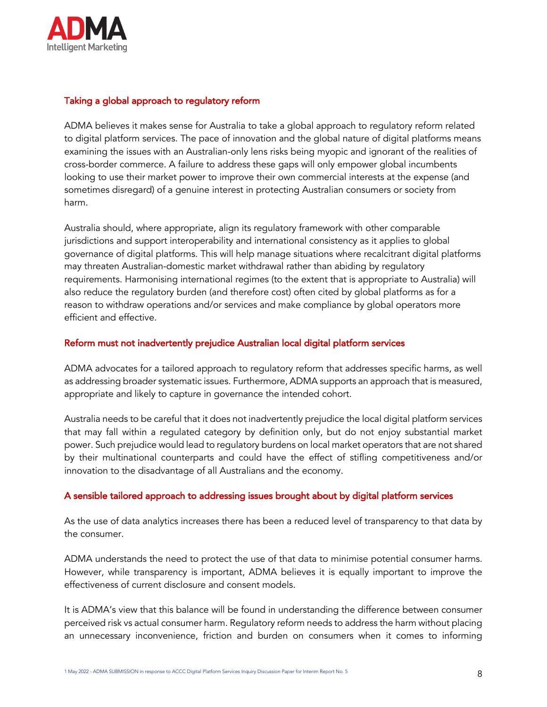

#### Taking a global approach to regulatory reform

ADMA believes it makes sense for Australia to take a global approach to regulatory reform related to digital platform services. The pace of innovation and the global nature of digital platforms means examining the issues with an Australian-only lens risks being myopic and ignorant of the realities of cross-border commerce. A failure to address these gaps will only empower global incumbents looking to use their market power to improve their own commercial interests at the expense (and sometimes disregard) of a genuine interest in protecting Australian consumers or society from harm.

Australia should, where appropriate, align its regulatory framework with other comparable jurisdictions and support interoperability and international consistency as it applies to global governance of digital platforms. This will help manage situations where recalcitrant digital platforms may threaten Australian-domestic market withdrawal rather than abiding by regulatory requirements. Harmonising international regimes (to the extent that is appropriate to Australia) will also reduce the regulatory burden (and therefore cost) often cited by global platforms as for a reason to withdraw operations and/or services and make compliance by global operators more efficient and effective.

#### Reform must not inadvertently prejudice Australian local digital platform services

ADMA advocates for a tailored approach to regulatory reform that addresses specific harms, as well as addressing broader systematic issues. Furthermore, ADMA supports an approach that is measured, appropriate and likely to capture in governance the intended cohort.

Australia needs to be careful that it does not inadvertently prejudice the local digital platform services that may fall within a regulated category by definition only, but do not enjoy substantial market power. Such prejudice would lead to regulatory burdens on local market operators that are not shared by their multinational counterparts and could have the effect of stifling competitiveness and/or innovation to the disadvantage of all Australians and the economy.

#### A sensible tailored approach to addressing issues brought about by digital platform services

As the use of data analytics increases there has been a reduced level of transparency to that data by the consumer.

ADMA understands the need to protect the use of that data to minimise potential consumer harms. However, while transparency is important, ADMA believes it is equally important to improve the effectiveness of current disclosure and consent models.

It is ADMA's view that this balance will be found in understanding the difference between consumer perceived risk vs actual consumer harm. Regulatory reform needs to address the harm without placing an unnecessary inconvenience, friction and burden on consumers when it comes to informing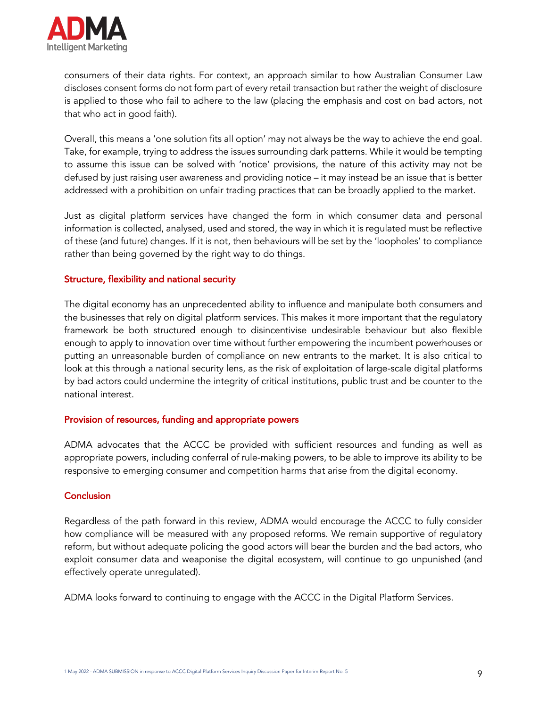

consumers of their data rights. For context, an approach similar to how Australian Consumer Law discloses consent forms do not form part of every retail transaction but rather the weight of disclosure is applied to those who fail to adhere to the law (placing the emphasis and cost on bad actors, not that who act in good faith).

Overall, this means a 'one solution fits all option' may not always be the way to achieve the end goal. Take, for example, trying to address the issues surrounding dark patterns. While it would be tempting to assume this issue can be solved with 'notice' provisions, the nature of this activity may not be defused by just raising user awareness and providing notice – it may instead be an issue that is better addressed with a prohibition on unfair trading practices that can be broadly applied to the market.

Just as digital platform services have changed the form in which consumer data and personal information is collected, analysed, used and stored, the way in which it is regulated must be reflective of these (and future) changes. If it is not, then behaviours will be set by the 'loopholes' to compliance rather than being governed by the right way to do things.

#### Structure, flexibility and national security

The digital economy has an unprecedented ability to influence and manipulate both consumers and the businesses that rely on digital platform services. This makes it more important that the regulatory framework be both structured enough to disincentivise undesirable behaviour but also flexible enough to apply to innovation over time without further empowering the incumbent powerhouses or putting an unreasonable burden of compliance on new entrants to the market. It is also critical to look at this through a national security lens, as the risk of exploitation of large-scale digital platforms by bad actors could undermine the integrity of critical institutions, public trust and be counter to the national interest.

#### Provision of resources, funding and appropriate powers

ADMA advocates that the ACCC be provided with sufficient resources and funding as well as appropriate powers, including conferral of rule-making powers, to be able to improve its ability to be responsive to emerging consumer and competition harms that arise from the digital economy.

#### **Conclusion**

Regardless of the path forward in this review, ADMA would encourage the ACCC to fully consider how compliance will be measured with any proposed reforms. We remain supportive of regulatory reform, but without adequate policing the good actors will bear the burden and the bad actors, who exploit consumer data and weaponise the digital ecosystem, will continue to go unpunished (and effectively operate unregulated).

ADMA looks forward to continuing to engage with the ACCC in the Digital Platform Services.